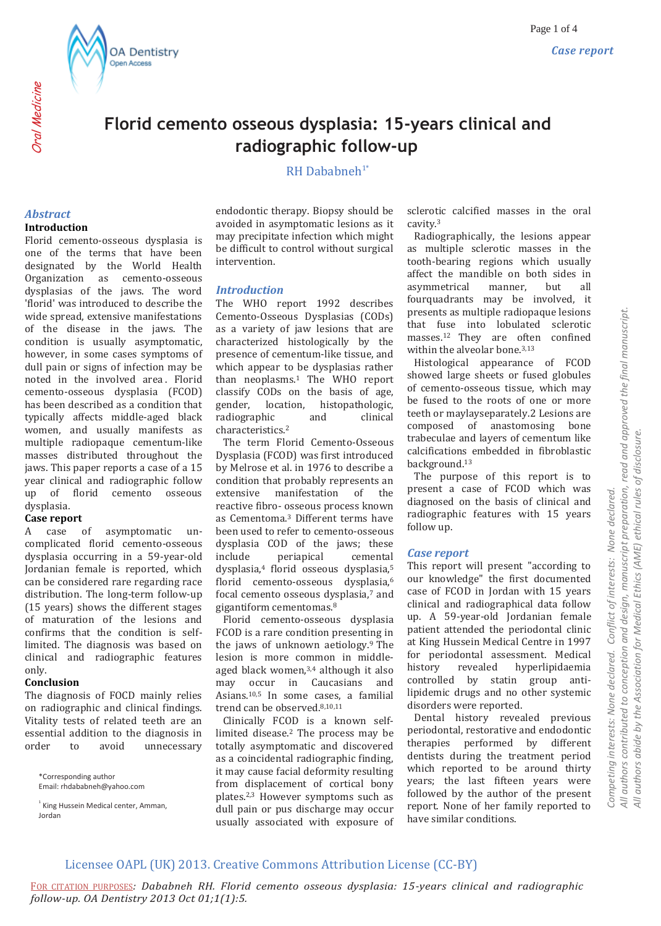

# **Florid cemento osseous dysplasia: 15-years clinical and radiographic follow-up**

## $RH$  Dahahneh<sup>1\*</sup>

### *Abstract*

Oral Medicine

#### **Introduction**

Florid cemento-osseous dysplasia is one of the terms that have been designated by the World Health Organization as cemento-osseous dysplasias of the jaws. The word 'florid' was introduced to describe the wide spread, extensive manifestations of the disease in the jaws. The condition is usually asymptomatic, however, in some cases symptoms of dull pain or signs of infection may be noted in the involved area . Florid cemento-osseous dysplasia (FCOD) has been described as a condition that typically affects middle-aged black women, and usually manifests as multiple radiopaque cementum-like masses distributed throughout the jaws. This paper reports a case of a 15 year clinical and radiographic follow up of florid cemento osseous dysplasia.

#### **Case report**

A case of asymptomatic uncomplicated florid cemento-osseous dysplasia occurring in a 59-year-old Jordanian female is reported, which can be considered rare regarding race distribution. The long-term follow-up (15 years) shows the different stages of maturation of the lesions and confirms that the condition is selflimited. The diagnosis was based on clinical and radiographic features only.

### **Conclusion**

The diagnosis of FOCD mainly relies on radiographic and clinical findings. Vitality tests of related teeth are an essential addition to the diagnosis in order to avoid unnecessary

\*Corresponding author Email: rhdababneh@yahoo.com

<sup>1</sup> King Hussein Medical center, Amman, Jordan

endodontic therapy. Biopsy should be avoided in asymptomatic lesions as it may precipitate infection which might be difficult to control without surgical intervention.

### *Introduction*

The WHO report 1992 describes Cemento-Osseous Dysplasias (CODs) as a variety of jaw lesions that are characterized histologically by the presence of cementum-like tissue, and which appear to be dysplasias rather than neoplasms.<sup>1</sup> The WHO report classify CODs on the basis of age, gender, location, histopathologic, radiographic and clinical characteristics.<sup>2</sup>

 The term Florid Cemento-Osseous Dysplasia (FCOD) was first introduced by Melrose et al. in 1976 to describe a condition that probably represents an extensive manifestation of the reactive fibro- osseous process known as Cementoma.<sup>3</sup> Different terms have been used to refer to cemento-osseous dysplasia COD of the jaws; these include periapical cemental dysplasia,<sup>4</sup> florid osseous dysplasia,<sup>5</sup> florid cemento-osseous dysplasia,<sup>6</sup> focal cemento osseous dysplasia,<sup>7</sup> and gigantiform cementomas.<sup>8</sup>

 Florid cemento-osseous dysplasia FCOD is a rare condition presenting in the jaws of unknown aetiology.<sup>9</sup> The lesion is more common in middleaged black women,3,4 although it also may occur in Caucasians and Asians.10,5 In some cases, a familial trend can be observed.8,10,11

 Clinically FCOD is a known selflimited disease.<sup>2</sup> The process may be totally asymptomatic and discovered as a coincidental radiographic finding, it may cause facial deformity resulting from displacement of cortical bony plates.2,3 However symptoms such as dull pain or pus discharge may occur usually associated with exposure of sclerotic calcified masses in the oral cavity.<sup>3</sup>

 Radiographically, the lesions appear as multiple sclerotic masses in the tooth-bearing regions which usually affect the mandible on both sides in asymmetrical manner, but all fourquadrants may be involved, it presents as multiple radiopaque lesions that fuse into lobulated sclerotic masses.<sup>12</sup> They are often confined within the alveolar bone.<sup>3,13</sup>

 Histological appearance of FCOD showed large sheets or fused globules of cemento-osseous tissue, which may be fused to the roots of one or more teeth or maylayseparately.2 Lesions are composed of anastomosing bone trabeculae and layers of cementum like calcifications embedded in fibroblastic background.<sup>13</sup>

 The purpose of this report is to present a case of FCOD which was diagnosed on the basis of clinical and radiographic features with 15 years follow up.

### *Case report*

This report will present "according to our knowledge" the first documented case of FCOD in Jordan with 15 years clinical and radiographical data follow up. A 59-year-old Jordanian female patient attended the periodontal clinic at King Hussein Medical Centre in 1997 for periodontal assessment. Medical history revealed hyperlipidaemia controlled by statin group antilipidemic drugs and no other systemic disorders were reported.

 Dental history revealed previous periodontal, restorative and endodontic therapies performed by different dentists during the treatment period which reported to be around thirty years; the last fifteen years were followed by the author of the present report. None of her family reported to have similar conditions.

## Licensee OAPL (UK) 2013. Creative Commons Attribution License (CC-BY)

FOR CITATION PURPOSES*: Dababneh RH. Florid cemento osseous dysplasia: 15-years clinical and radiographic follow-up. OA Dentistry 2013 Oct 01;1(1):5.*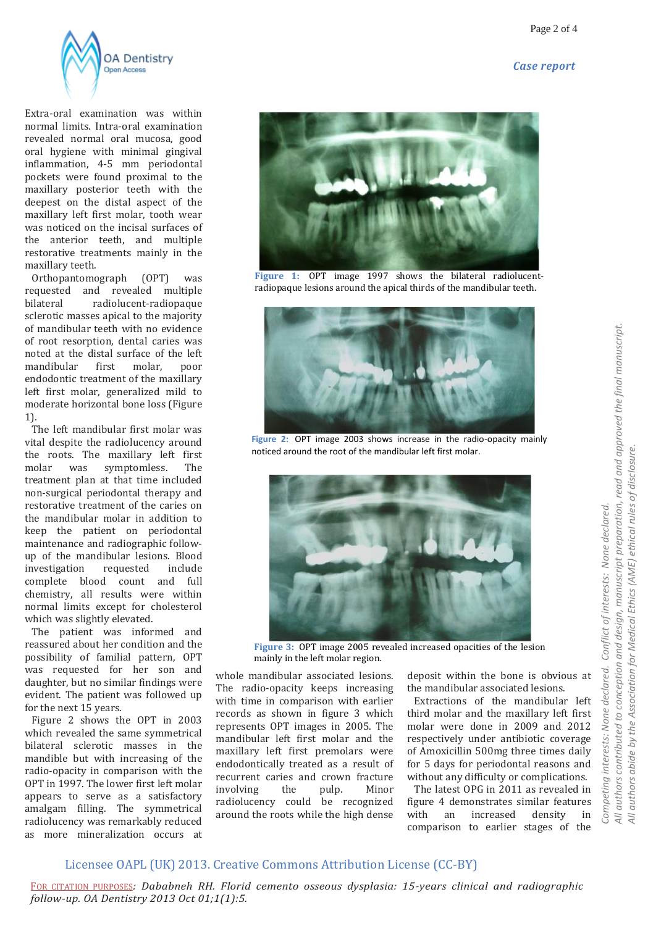



Extra-oral examination was within normal limits. Intra-oral examination revealed normal oral mucosa, good oral hygiene with minimal gingival inflammation, 4-5 mm periodontal pockets were found proximal to the maxillary posterior teeth with the deepest on the distal aspect of the maxillary left first molar, tooth wear was noticed on the incisal surfaces of the anterior teeth, and multiple restorative treatments mainly in the maxillary teeth.

 Orthopantomograph (OPT) was requested and revealed multiple bilateral radiolucent-radiopaque sclerotic masses apical to the majority of mandibular teeth with no evidence of root resorption, dental caries was noted at the distal surface of the left mandibular first molar, poor endodontic treatment of the maxillary left first molar, generalized mild to moderate horizontal bone loss (Figure 1).

 The left mandibular first molar was vital despite the radiolucency around the roots. The maxillary left first molar was symptomless. The treatment plan at that time included non-surgical periodontal therapy and restorative treatment of the caries on the mandibular molar in addition to keep the patient on periodontal maintenance and radiographic followup of the mandibular lesions. Blood investigation requested include complete blood count and full chemistry, all results were within normal limits except for cholesterol which was slightly elevated.

 The patient was informed and reassured about her condition and the possibility of familial pattern, OPT was requested for her son and daughter, but no similar findings were evident. The patient was followed up for the next 15 years.

 Figure 2 shows the OPT in 2003 which revealed the same symmetrical bilateral sclerotic masses in the mandible but with increasing of the radio-opacity in comparison with the OPT in 1997. The lower first left molar appears to serve as a satisfactory amalgam filling. The symmetrical radiolucency was remarkably reduced as more mineralization occurs at



**Figure 1:** OPT image 1997 shows the bilateral radiolucentradiopaque lesions around the apical thirds of the mandibular teeth.



**Figure 2:** OPT image 2003 shows increase in the radio-opacity mainly noticed around the root of the mandibular left first molar.



**Figure 3:** OPT image 2005 revealed increased opacities of the lesion mainly in the left molar region.

whole mandibular associated lesions. The radio-opacity keeps increasing with time in comparison with earlier records as shown in figure 3 which represents OPT images in 2005. The mandibular left first molar and the maxillary left first premolars were endodontically treated as a result of recurrent caries and crown fracture involving the pulp. Minor radiolucency could be recognized around the roots while the high dense

deposit within the bone is obvious at the mandibular associated lesions.

 Extractions of the mandibular left third molar and the maxillary left first molar were done in 2009 and 2012 respectively under antibiotic coverage of Amoxicillin 500mg three times daily for 5 days for periodontal reasons and without any difficulty or complications.

 The latest OPG in 2011 as revealed in figure 4 demonstrates similar features with an increased density in comparison to earlier stages of the

 $\overline{4}$  $\frac{1}{4}$ 

# Licensee OAPL (UK) 2013. Creative Commons Attribution License (CC-BY)

FOR CITATION PURPOSES*: Dababneh RH. Florid cemento osseous dysplasia: 15-years clinical and radiographic follow-up. OA Dentistry 2013 Oct 01;1(1):5.*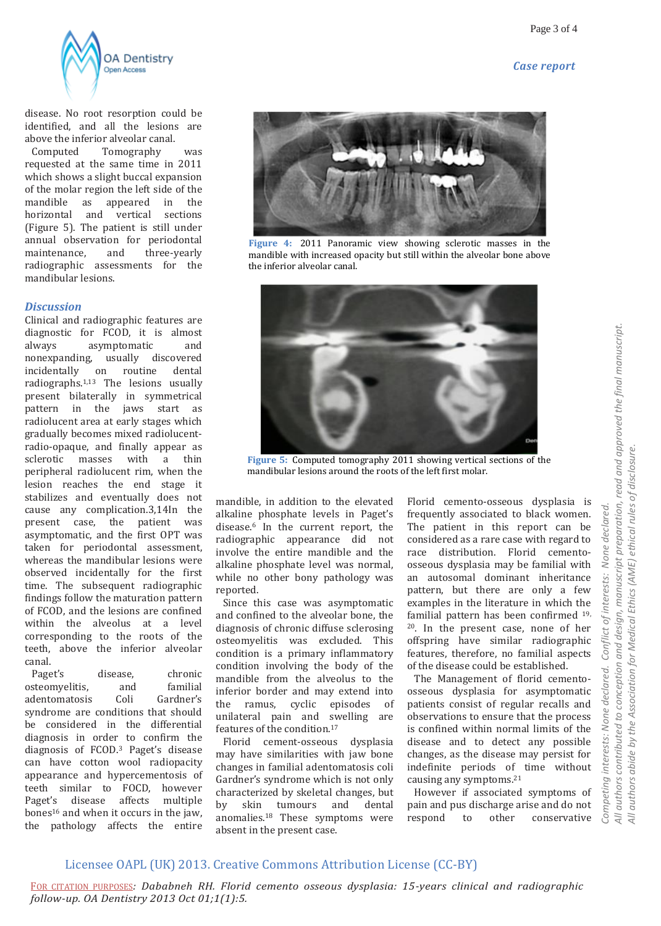



disease. No root resorption could be identified, and all the lesions are above the inferior alveolar canal.

 Computed Tomography was requested at the same time in 2011 which shows a slight buccal expansion of the molar region the left side of the mandible as appeared in the horizontal and vertical sections (Figure 5). The patient is still under annual observation for periodontal maintenance, and three-yearly radiographic assessments for the mandibular lesions.

### *Discussion*

Clinical and radiographic features are diagnostic for FCOD, it is almost always asymptomatic and nonexpanding, usually discovered incidentally on routine dental radiographs.1,13 The lesions usually present bilaterally in symmetrical pattern in the jaws start as radiolucent area at early stages which gradually becomes mixed radiolucentradio-opaque, and finally appear as sclerotic masses with a thin peripheral radiolucent rim, when the lesion reaches the end stage it stabilizes and eventually does not cause any complication.3,14In the present case, the patient was asymptomatic, and the first OPT was taken for periodontal assessment, whereas the mandibular lesions were observed incidentally for the first time. The subsequent radiographic findings follow the maturation pattern of FCOD, and the lesions are confined within the alveolus at a level corresponding to the roots of the teeth, above the inferior alveolar canal.

 Paget's disease, chronic osteomyelitis, and familial adentomatosis Coli Gardner's syndrome are conditions that should be considered in the differential diagnosis in order to confirm the diagnosis of FCOD.<sup>3</sup> Paget's disease can have cotton wool radiopacity appearance and hypercementosis of teeth similar to FOCD, however Paget's disease affects multiple bones<sup>16</sup> and when it occurs in the jaw, the pathology affects the entire



**Figure 4:** 2011 Panoramic view showing sclerotic masses in the mandible with increased opacity but still within the alveolar bone above the inferior alveolar canal.



**Figure 5:** Computed tomography 2011 showing vertical sections of the mandibular lesions around the roots of the left first molar.

mandible, in addition to the elevated alkaline phosphate levels in Paget's disease.<sup>6</sup> In the current report, the radiographic appearance did not involve the entire mandible and the alkaline phosphate level was normal, while no other bony pathology was reported.

 Since this case was asymptomatic and confined to the alveolar bone, the diagnosis of chronic diffuse sclerosing osteomyelitis was excluded. This condition is a primary inflammatory condition involving the body of the mandible from the alveolus to the inferior border and may extend into the ramus, cyclic episodes of unilateral pain and swelling are features of the condition.<sup>17</sup>

 Florid cement-osseous dysplasia may have similarities with jaw bone changes in familial adentomatosis coli Gardner's syndrome which is not only characterized by skeletal changes, but by skin tumours and dental anomalies.<sup>18</sup> These symptoms were absent in the present case.

Florid cemento-osseous dysplasia is frequently associated to black women. The patient in this report can be considered as a rare case with regard to race distribution. Florid cementoosseous dysplasia may be familial with an autosomal dominant inheritance pattern, but there are only a few examples in the literature in which the familial pattern has been confirmed 19, <sup>20</sup>. In the present case, none of her offspring have similar radiographic features, therefore, no familial aspects of the disease could be established.

 The Management of florid cementoosseous dysplasia for asymptomatic patients consist of regular recalls and observations to ensure that the process is confined within normal limits of the disease and to detect any possible changes, as the disease may persist for indefinite periods of time without causing any symptoms.<sup>21</sup>

 However if associated symptoms of pain and pus discharge arise and do not respond to other conservative

## Licensee OAPL (UK) 2013. Creative Commons Attribution License (CC-BY)